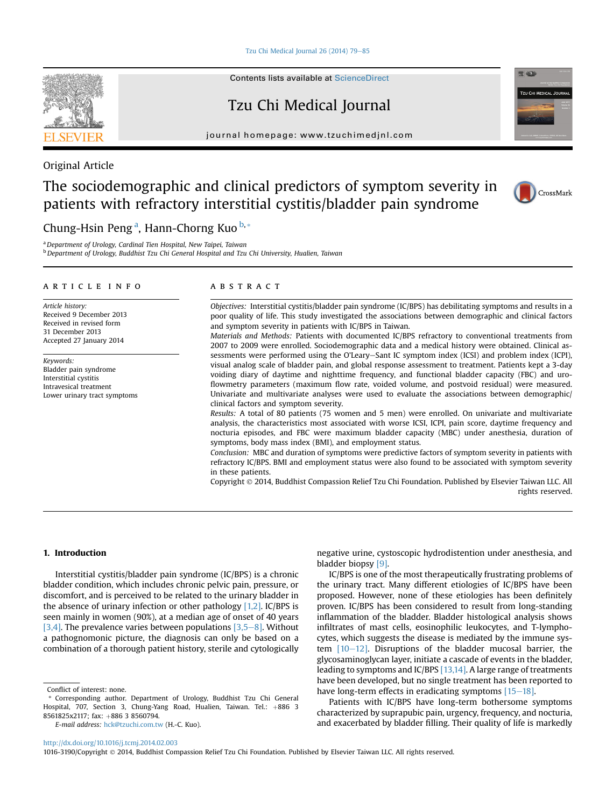[Tzu Chi Medical Journal 26 \(2014\) 79](http://dx.doi.org/10.1016/j.tcmj.2014.02.003)-[85](http://dx.doi.org/10.1016/j.tcmj.2014.02.003)

## Contents lists available at [ScienceDirect](www.sciencedirect.com/science/journal/10163190)

# Tzu Chi Medical Journal

journal homepage: [www.tzuchimedjnl.com](http://www.tzuchimedjnl.com)



### Original Article

# The sociodemographic and clinical predictors of symptom severity in patients with refractory interstitial cystitis/bladder pain syndrome



## Chung-Hsin Peng<sup>a</sup>, Hann-Chorng Kuo<sup>b,\*</sup>

<sup>a</sup> Department of Urology, Cardinal Tien Hospital, New Taipei, Taiwan b Department of Urology, Buddhist Tzu Chi General Hospital and Tzu Chi University, Hualien, Taiwan

#### article info

Article history: Received 9 December 2013 Received in revised form 31 December 2013 Accepted 27 January 2014

Keywords: Bladder pain syndrome Interstitial cystitis Intravesical treatment Lower urinary tract symptoms

### ABSTRACT

Objectives: Interstitial cystitis/bladder pain syndrome (IC/BPS) has debilitating symptoms and results in a poor quality of life. This study investigated the associations between demographic and clinical factors and symptom severity in patients with IC/BPS in Taiwan.

Materials and Methods: Patients with documented IC/BPS refractory to conventional treatments from 2007 to 2009 were enrolled. Sociodemographic data and a medical history were obtained. Clinical assessments were performed using the O'Leary-Sant IC symptom index (ICSI) and problem index (ICPI), visual analog scale of bladder pain, and global response assessment to treatment. Patients kept a 3-day voiding diary of daytime and nighttime frequency, and functional bladder capacity (FBC) and uroflowmetry parameters (maximum flow rate, voided volume, and postvoid residual) were measured. Univariate and multivariate analyses were used to evaluate the associations between demographic/ clinical factors and symptom severity.

Results: A total of 80 patients (75 women and 5 men) were enrolled. On univariate and multivariate analysis, the characteristics most associated with worse ICSI, ICPI, pain score, daytime frequency and nocturia episodes, and FBC were maximum bladder capacity (MBC) under anesthesia, duration of symptoms, body mass index (BMI), and employment status.

Conclusion: MBC and duration of symptoms were predictive factors of symptom severity in patients with refractory IC/BPS. BMI and employment status were also found to be associated with symptom severity in these patients.

Copyright 2014, Buddhist Compassion Relief Tzu Chi Foundation. Published by Elsevier Taiwan LLC. All rights reserved.

#### 1. Introduction

Interstitial cystitis/bladder pain syndrome (IC/BPS) is a chronic bladder condition, which includes chronic pelvic pain, pressure, or discomfort, and is perceived to be related to the urinary bladder in the absence of urinary infection or other pathology [\[1,2\]](#page-5-0). IC/BPS is seen mainly in women (90%), at a median age of onset of 40 years [\[3,4\].](#page-5-0) The prevalence varies between populations  $[3,5-8]$  $[3,5-8]$ . Without a pathognomonic picture, the diagnosis can only be based on a combination of a thorough patient history, sterile and cytologically

E-mail address: [hck@tzuchi.com.tw](mailto:hck@tzuchi.com.tw) (H.-C. Kuo).

negative urine, cystoscopic hydrodistention under anesthesia, and bladder biopsy [\[9\].](#page-5-0)

IC/BPS is one of the most therapeutically frustrating problems of the urinary tract. Many different etiologies of IC/BPS have been proposed. However, none of these etiologies has been definitely proven. IC/BPS has been considered to result from long-standing inflammation of the bladder. Bladder histological analysis shows infiltrates of mast cells, eosinophilic leukocytes, and T-lymphocytes, which suggests the disease is mediated by the immune system  $[10-12]$  $[10-12]$  $[10-12]$ . Disruptions of the bladder mucosal barrier, the glycosaminoglycan layer, initiate a cascade of events in the bladder, leading to symptoms and IC/BPS [\[13,14\]](#page-5-0). A large range of treatments have been developed, but no single treatment has been reported to have long-term effects in eradicating symptoms  $[15-18]$  $[15-18]$  $[15-18]$ .

Patients with IC/BPS have long-term bothersome symptoms characterized by suprapubic pain, urgency, frequency, and nocturia, and exacerbated by bladder filling. Their quality of life is markedly

<http://dx.doi.org/10.1016/j.tcmj.2014.02.003>

Conflict of interest: none.

Corresponding author. Department of Urology, Buddhist Tzu Chi General Hospital, 707, Section 3, Chung-Yang Road, Hualien, Taiwan. Tel.: +886 3 8561825x2117; fax: +886 3 8560794.

<sup>1016-3190/</sup>Copyright 2014, Buddhist Compassion Relief Tzu Chi Foundation. Published by Elsevier Taiwan LLC. All rights reserved.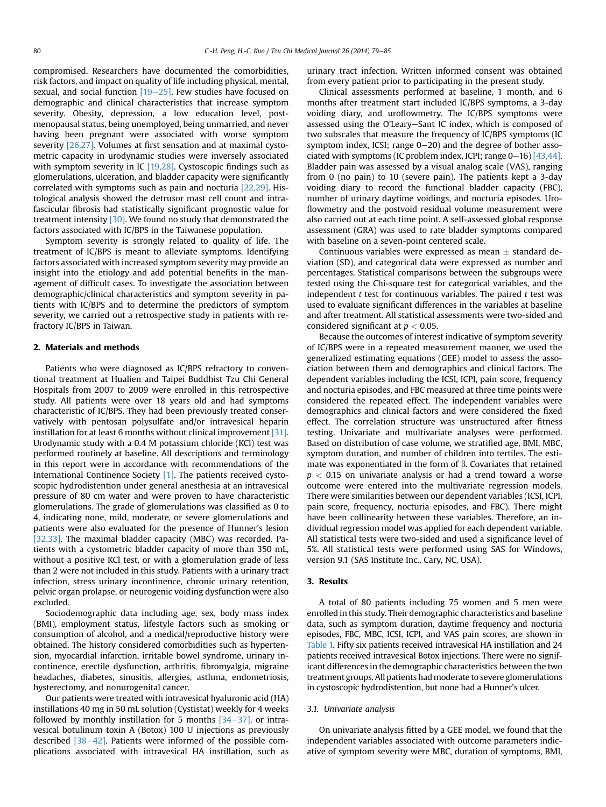compromised. Researchers have documented the comorbidities, risk factors, and impact on quality of life including physical, mental, sexual, and social function  $[19-25]$  $[19-25]$  $[19-25]$ . Few studies have focused on demographic and clinical characteristics that increase symptom severity. Obesity, depression, a low education level, postmenopausal status, being unemployed, being unmarried, and never having been pregnant were associated with worse symptom severity [\[26,27\]](#page-6-0). Volumes at first sensation and at maximal cystometric capacity in urodynamic studies were inversely associated with symptom severity in IC  $[19,28]$ . Cystoscopic findings such as glomerulations, ulceration, and bladder capacity were significantly correlated with symptoms such as pain and nocturia [\[22,29\].](#page-6-0) Histological analysis showed the detrusor mast cell count and intrafascicular fibrosis had statistically significant prognostic value for treatment intensity [\[30\].](#page-6-0) We found no study that demonstrated the factors associated with IC/BPS in the Taiwanese population.

Symptom severity is strongly related to quality of life. The treatment of IC/BPS is meant to alleviate symptoms. Identifying factors associated with increased symptom severity may provide an insight into the etiology and add potential benefits in the management of difficult cases. To investigate the association between demographic/clinical characteristics and symptom severity in patients with IC/BPS and to determine the predictors of symptom severity, we carried out a retrospective study in patients with refractory IC/BPS in Taiwan.

### 2. Materials and methods

Patients who were diagnosed as IC/BPS refractory to conventional treatment at Hualien and Taipei Buddhist Tzu Chi General Hospitals from 2007 to 2009 were enrolled in this retrospective study. All patients were over 18 years old and had symptoms characteristic of IC/BPS. They had been previously treated conservatively with pentosan polysulfate and/or intravesical heparin instillation for at least 6 months without clinical improvement [\[31\].](#page-6-0) Urodynamic study with a 0.4 M potassium chloride (KCl) test was performed routinely at baseline. All descriptions and terminology in this report were in accordance with recommendations of the International Continence Society [\[1\]](#page-5-0). The patients received cystoscopic hydrodistention under general anesthesia at an intravesical pressure of 80 cm water and were proven to have characteristic glomerulations. The grade of glomerulations was classified as 0 to 4, indicating none, mild, moderate, or severe glomerulations and patients were also evaluated for the presence of Hunner's lesion [\[32,33\]](#page-6-0). The maximal bladder capacity (MBC) was recorded. Patients with a cystometric bladder capacity of more than 350 mL, without a positive KCl test, or with a glomerulation grade of less than 2 were not included in this study. Patients with a urinary tract infection, stress urinary incontinence, chronic urinary retention, pelvic organ prolapse, or neurogenic voiding dysfunction were also excluded.

Sociodemographic data including age, sex, body mass index (BMI), employment status, lifestyle factors such as smoking or consumption of alcohol, and a medical/reproductive history were obtained. The history considered comorbidities such as hypertension, myocardial infarction, irritable bowel syndrome, urinary incontinence, erectile dysfunction, arthritis, fibromyalgia, migraine headaches, diabetes, sinusitis, allergies, asthma, endometriosis, hysterectomy, and nonurogenital cancer.

Our patients were treated with intravesical hyaluronic acid (HA) instillations 40 mg in 50 mL solution (Cystistat) weekly for 4 weeks followed by monthly instillation for 5 months  $[34-37]$  $[34-37]$ , or intravesical botulinum toxin A (Botox) 100 U injections as previously described  $[38-42]$  $[38-42]$ . Patients were informed of the possible complications associated with intravesical HA instillation, such as urinary tract infection. Written informed consent was obtained from every patient prior to participating in the present study.

Clinical assessments performed at baseline, 1 month, and 6 months after treatment start included IC/BPS symptoms, a 3-day voiding diary, and uroflowmetry. The IC/BPS symptoms were assessed using the O'Leary-Sant IC index, which is composed of two subscales that measure the frequency of IC/BPS symptoms (IC symptom index, ICSI; range  $0-20$ ) and the degree of bother associated with symptoms (IC problem index, ICPI; range  $0-16$ ) [\[43,44\].](#page-6-0) Bladder pain was assessed by a visual analog scale (VAS), ranging from 0 (no pain) to 10 (severe pain). The patients kept a 3-day voiding diary to record the functional bladder capacity (FBC), number of urinary daytime voidings, and nocturia episodes. Uroflowmetry and the postvoid residual volume measurement were also carried out at each time point. A self-assessed global response assessment (GRA) was used to rate bladder symptoms compared with baseline on a seven-point centered scale.

Continuous variables were expressed as mean  $\pm$  standard deviation (SD), and categorical data were expressed as number and percentages. Statistical comparisons between the subgroups were tested using the Chi-square test for categorical variables, and the independent  $t$  test for continuous variables. The paired  $t$  test was used to evaluate significant differences in the variables at baseline and after treatment. All statistical assessments were two-sided and considered significant at  $p < 0.05$ .

Because the outcomes of interest indicative of symptom severity of IC/BPS were in a repeated measurement manner, we used the generalized estimating equations (GEE) model to assess the association between them and demographics and clinical factors. The dependent variables including the ICSI, ICPI, pain score, frequency and nocturia episodes, and FBC measured at three time points were considered the repeated effect. The independent variables were demographics and clinical factors and were considered the fixed effect. The correlation structure was unstructured after fitness testing. Univariate and multivariate analyses were performed. Based on distribution of case volume, we stratified age, BMI, MBC, symptom duration, and number of children into tertiles. The estimate was exponentiated in the form of  $\beta$ . Covariates that retained  $p < 0.15$  on univariate analysis or had a trend toward a worse outcome were entered into the multivariate regression models. There were similarities between our dependent variables (ICSI, ICPI, pain score, frequency, nocturia episodes, and FBC). There might have been collinearity between these variables. Therefore, an individual regression model was applied for each dependent variable. All statistical tests were two-sided and used a significance level of 5%. All statistical tests were performed using SAS for Windows, version 9.1 (SAS Institute Inc., Cary, NC, USA).

#### 3. Results

A total of 80 patients including 75 women and 5 men were enrolled in this study. Their demographic characteristics and baseline data, such as symptom duration, daytime frequency and nocturia episodes, FBC, MBC, ICSI, ICPI, and VAS pain scores, are shown in [Table 1.](#page-2-0) Fifty six patients received intravesical HA instillation and 24 patients received intravesical Botox injections. There were no significant differences in the demographic characteristics between the two treatment groups. All patients hadmoderate to severe glomerulations in cystoscopic hydrodistention, but none had a Hunner's ulcer.

#### 3.1. Univariate analysis

On univariate analysis fitted by a GEE model, we found that the independent variables associated with outcome parameters indicative of symptom severity were MBC, duration of symptoms, BMI,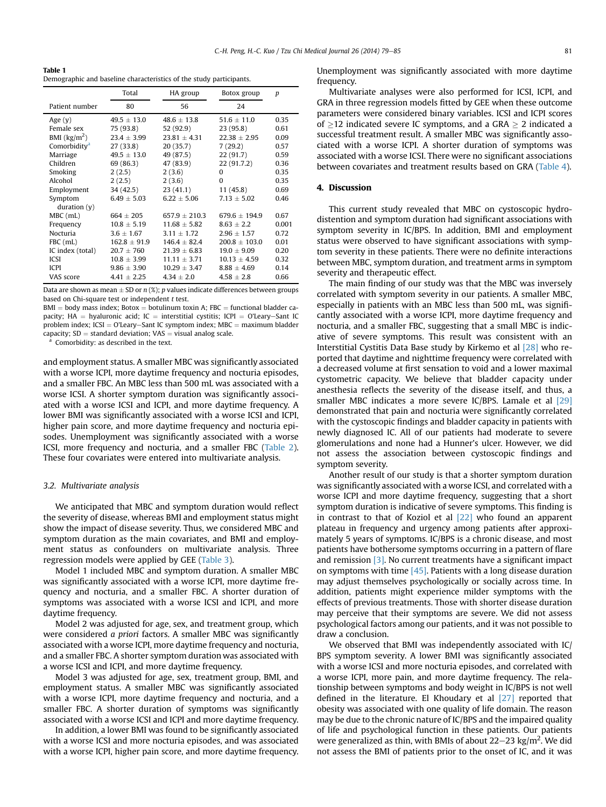<span id="page-2-0"></span>Table 1 Demographic and baseline characteristics of the study participants.

|                                    | Total           | HA group         | Botox group      | p     |
|------------------------------------|-----------------|------------------|------------------|-------|
| Patient number                     | 80              | 56               | 24               |       |
| Age $(y)$                          | $49.5 \pm 13.0$ | $48.6 + 13.8$    | $51.6 + 11.0$    | 0.35  |
| Female sex                         | 75 (93.8)       | 52 (92.9)        | 23 (95.8)        | 0.61  |
| BMI $\frac{\text{kg}}{\text{m}^2}$ | $23.4 \pm 3.99$ | $23.81 + 4.31$   | $22.38 + 2.95$   | 0.09  |
| Comorbidity <sup>a</sup>           | 27(33.8)        | 20(35.7)         | 7(29.2)          | 0.57  |
| Marriage                           | $49.5 + 13.0$   | 49 (87.5)        | 22(91.7)         | 0.59  |
| Children                           | 69 (86.3)       | 47 (83.9)        | 22 (91.7.2)      | 0.36  |
| Smoking                            | 2(2.5)          | 2(3.6)           | $\Omega$         | 0.35  |
| Alcohol                            | 2(2.5)          | 2(3.6)           | $\Omega$         | 0.35  |
| Employment                         | 34(42.5)        | 23(41.1)         | 11 (45.8)        | 0.69  |
| Symptom                            | $6.49 \pm 5.03$ | $6.22 \pm 5.06$  | $7.13 \pm 5.02$  | 0.46  |
| duration $(y)$                     |                 |                  |                  |       |
| $MBC$ (mL)                         | $664 + 205$     | $657.9 + 210.3$  | $6796 + 1949$    | 0.67  |
| Frequency                          | $10.8 \pm 5.19$ | $11.68 + 5.82$   | $8.63 + 2.2$     | 0.001 |
| Nocturia                           | $3.6 \pm 1.67$  | $3.11 + 1.72$    | $2.96 + 1.57$    | 0.72  |
| FBC (mL)                           | $162.8 + 91.9$  | $146.4 + 82.4$   | $200.8 + 103.0$  | 0.01  |
| IC index (total)                   | $20.7 \pm 760$  | $21.39 \pm 6.83$ | $19.0 \pm 9.09$  | 0.20  |
| <b>ICSI</b>                        | $10.8 \pm 3.99$ | $11.11 \pm 3.71$ | $10.13 \pm 4.59$ | 0.32  |
| <b>ICPI</b>                        | $9.86 \pm 3.90$ | $10.29 \pm 3.47$ | $8.88 \pm 4.69$  | 0.14  |
| VAS score                          | $4.41 \pm 2.25$ | $4.34 \pm 2.0$   | $4.58 \pm 2.8$   | 0.66  |

Data are shown as mean  $\pm$  SD or  $n$  (%);  $p$  values indicate differences between groups based on Chi-square test or independent  $t$  test.

 $BMI =$  body mass index; Botox  $=$  botulinum toxin A; FBC  $=$  functional bladder capacity; HA = hyaluronic acid; IC = interstitial cystitis; ICPI = O'Leary-Sant IC problem index;  $ICSI = O'Leary-Sant IC$  symptom index;  $MBC =$  maximum bladder capacity; SD = standard deviation; VAS = visual analog scale.  $\frac{a}{a}$  Comorbidity: as described in the text.

and employment status. A smaller MBC was significantly associated with a worse ICPI, more daytime frequency and nocturia episodes, and a smaller FBC. An MBC less than 500 mL was associated with a worse ICSI. A shorter symptom duration was significantly associated with a worse ICSI and ICPI, and more daytime frequency. A lower BMI was significantly associated with a worse ICSI and ICPI, higher pain score, and more daytime frequency and nocturia episodes. Unemployment was significantly associated with a worse ICSI, more frequency and nocturia, and a smaller FBC [\(Table 2\)](#page-3-0). These four covariates were entered into multivariate analysis.

#### 3.2. Multivariate analysis

We anticipated that MBC and symptom duration would reflect the severity of disease, whereas BMI and employment status might show the impact of disease severity. Thus, we considered MBC and symptom duration as the main covariates, and BMI and employment status as confounders on multivariate analysis. Three regression models were applied by GEE [\(Table 3](#page-4-0)).

Model 1 included MBC and symptom duration. A smaller MBC was significantly associated with a worse ICPI, more daytime frequency and nocturia, and a smaller FBC. A shorter duration of symptoms was associated with a worse ICSI and ICPI, and more daytime frequency.

Model 2 was adjusted for age, sex, and treatment group, which were considered a priori factors. A smaller MBC was significantly associated with a worse ICPI, more daytime frequency and nocturia, and a smaller FBC. A shorter symptom duration was associated with a worse ICSI and ICPI, and more daytime frequency.

Model 3 was adjusted for age, sex, treatment group, BMI, and employment status. A smaller MBC was significantly associated with a worse ICPI, more daytime frequency and nocturia, and a smaller FBC. A shorter duration of symptoms was significantly associated with a worse ICSI and ICPI and more daytime frequency.

In addition, a lower BMI was found to be significantly associated with a worse ICSI and more nocturia episodes, and was associated with a worse ICPI, higher pain score, and more daytime frequency. Unemployment was significantly associated with more daytime frequency.

Multivariate analyses were also performed for ICSI, ICPI, and GRA in three regression models fitted by GEE when these outcome parameters were considered binary variables. ICSI and ICPI scores of  $>$ 12 indicated severe IC symptoms, and a GRA  $>$  2 indicated a successful treatment result. A smaller MBC was significantly associated with a worse ICPI. A shorter duration of symptoms was associated with a worse ICSI. There were no significant associations between covariates and treatment results based on GRA ([Table 4\)](#page-5-0).

#### 4. Discussion

This current study revealed that MBC on cystoscopic hydrodistention and symptom duration had significant associations with symptom severity in IC/BPS. In addition, BMI and employment status were observed to have significant associations with symptom severity in these patients. There were no definite interactions between MBC, symptom duration, and treatment arms in symptom severity and therapeutic effect.

The main finding of our study was that the MBC was inversely correlated with symptom severity in our patients. A smaller MBC, especially in patients with an MBC less than 500 mL, was significantly associated with a worse ICPI, more daytime frequency and nocturia, and a smaller FBC, suggesting that a small MBC is indicative of severe symptoms. This result was consistent with an Interstitial Cystitis Data Base study by Kirkemo et al [\[28\]](#page-6-0) who reported that daytime and nighttime frequency were correlated with a decreased volume at first sensation to void and a lower maximal cystometric capacity. We believe that bladder capacity under anesthesia reflects the severity of the disease itself, and thus, a smaller MBC indicates a more severe IC/BPS. Lamale et al [\[29\]](#page-6-0) demonstrated that pain and nocturia were significantly correlated with the cystoscopic findings and bladder capacity in patients with newly diagnosed IC. All of our patients had moderate to severe glomerulations and none had a Hunner's ulcer. However, we did not assess the association between cystoscopic findings and symptom severity.

Another result of our study is that a shorter symptom duration was significantly associated with a worse ICSI, and correlated with a worse ICPI and more daytime frequency, suggesting that a short symptom duration is indicative of severe symptoms. This finding is in contrast to that of Koziol et al [\[22\]](#page-6-0) who found an apparent plateau in frequency and urgency among patients after approximately 5 years of symptoms. IC/BPS is a chronic disease, and most patients have bothersome symptoms occurring in a pattern of flare and remission [\[3\].](#page-5-0) No current treatments have a significant impact on symptoms with time [\[45\]](#page-6-0). Patients with a long disease duration may adjust themselves psychologically or socially across time. In addition, patients might experience milder symptoms with the effects of previous treatments. Those with shorter disease duration may perceive that their symptoms are severe. We did not assess psychological factors among our patients, and it was not possible to draw a conclusion.

We observed that BMI was independently associated with IC/ BPS symptom severity. A lower BMI was significantly associated with a worse ICSI and more nocturia episodes, and correlated with a worse ICPI, more pain, and more daytime frequency. The relationship between symptoms and body weight in IC/BPS is not well defined in the literature. El Khoudary et al [\[27\]](#page-6-0) reported that obesity was associated with one quality of life domain. The reason may be due to the chronic nature of IC/BPS and the impaired quality of life and psychological function in these patients. Our patients were generalized as thin, with BMIs of about 22–23 kg/m<sup>2</sup>. We did not assess the BMI of patients prior to the onset of IC, and it was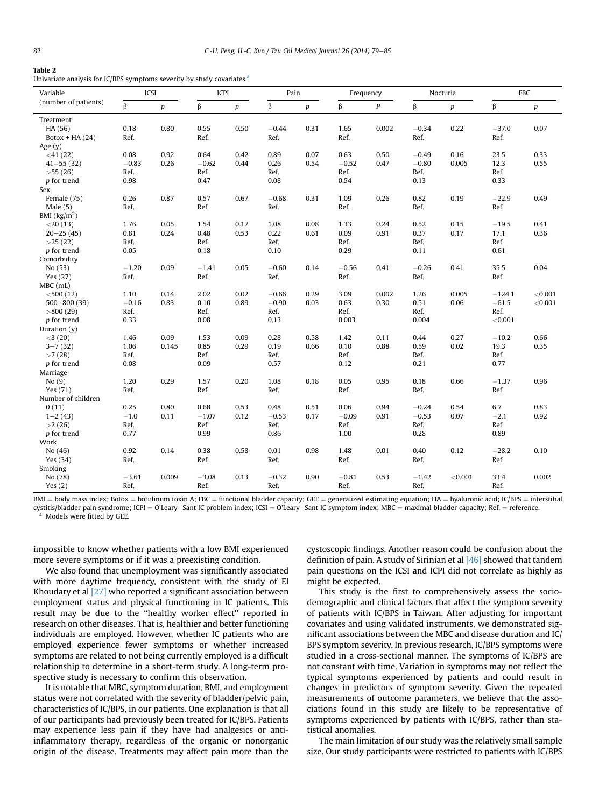#### <span id="page-3-0"></span>Table 2

Univariate analysis for IC/BPS symptoms severity by study covariates.<sup>a</sup>

| (number of patients)<br>$\boldsymbol{P}$<br>β<br>β<br>β<br>β<br>β<br>β<br>$p_{\parallel}$<br>$p_{\parallel}$<br>$p_{\parallel}$<br>$\boldsymbol{p}$<br>$\boldsymbol{p}$<br>Treatment<br>0.80<br>0.07<br>HA (56)<br>0.18<br>0.55<br>0.50<br>$-0.44$<br>0.31<br>1.65<br>0.002<br>$-0.34$<br>0.22<br>$-37.0$<br>Ref.<br>Ref.<br>Ref.<br>Ref.<br>Ref.<br>$Botox + HA(24)$<br>Ref.<br>Age $(y)$<br>0.33<br>0.08<br>0.92<br>0.64<br>0.42<br>0.89<br>0.07<br>0.63<br>0.50<br>0.16<br>23.5<br>$<$ 41 $(22)$<br>$-0.49$<br>$-0.83$<br>0.26<br>$-0.62$<br>0.44<br>0.26<br>0.54<br>$-0.52$<br>0.47<br>$-0.80$<br>0.005<br>12.3<br>0.55<br>$41 - 55(32)$<br>Ref.<br>Ref.<br>Ref.<br>Ref.<br>Ref.<br>Ref.<br>>55(26)<br>0.98<br>0.47<br>0.08<br>0.54<br>0.33<br>p for trend<br>0.13<br>Sex<br>0.87<br>0.26<br>0.26<br>0.57<br>0.67<br>$-0.68$<br>0.31<br>1.09<br>0.82<br>0.19<br>$-22.9$<br>0.49<br>Female (75)<br>Ref.<br>Ref.<br>Ref.<br>Ref.<br>Male $(5)$<br>Ref.<br>Ref.<br>BMI $\left(\frac{kg}{m^2}\right)$<br>1.76<br>0.05<br>1.54<br>0.17<br>1.08<br>0.08<br>1.33<br>0.24<br>0.52<br>0.15<br>$-19.5$<br>0.41<br>$<$ 20 $(13)$<br>0.48<br>0.53<br>0.22<br>0.61<br>0.09<br>0.91<br>0.17<br>17.1<br>0.36<br>$20 - 25(45)$<br>0.81<br>0.24<br>0.37<br>Ref.<br>Ref.<br>Ref.<br>Ref.<br>Ref.<br>Ref.<br>>25(22)<br>0.18<br>0.10<br>0.29<br>0.61<br>p for trend<br>0.05<br>0.11<br>Comorbidity<br>$-1.20$<br>0.09<br>0.05<br>0.41<br>0.41<br>35.5<br>0.04<br>No (53)<br>$-1.41$<br>$-0.60$<br>0.14<br>$-0.56$<br>$-0.26$<br>Ref.<br>Ref.<br>Ref.<br>Ref.<br>Ref.<br>Yes (27)<br>Ref.<br>$MBC$ ( $mL$ )<br>1.10<br>0.14<br>2.02<br>0.02<br>$-0.66$<br>0.29<br>3.09<br>0.002<br>1.26<br>0.005<br>$-124.1$<br>< 0.001<br>$<$ 500 $(12)$<br>0.83<br>0.10<br>0.89<br>$-0.90$<br>0.03<br>0.63<br>0.30<br>0.51<br>0.06<br>$-61.5$<br>< 0.001<br>$500 - 800(39)$<br>$-0.16$<br>Ref.<br>Ref.<br>Ref.<br>Ref.<br>Ref.<br>>800(29)<br>Ref.<br>0.003<br>< 0.001<br>$p$ for trend<br>0.33<br>0.08<br>0.13<br>0.004<br>Duration $(y)$<br>0.09<br>1.53<br>0.09<br>0.28<br>0.58<br>1.42<br>0.11<br>0.27<br>$-10.2$<br>0.66<br>$<$ 3 (20)<br>1.46<br>0.44<br>0.85<br>0.02<br>19.3<br>0.35<br>1.06<br>0.145<br>0.29<br>0.19<br>0.66<br>0.10<br>0.88<br>0.59<br>$3 - 7(32)$<br>Ref.<br>Ref.<br>Ref.<br>Ref.<br>>7(28)<br>Ref.<br>Ref.<br>0.77<br>$p$ for trend<br>0.08<br>0.09<br>0.57<br>0.12<br>0.21<br>Marriage<br>0.29<br>0.20<br>0.18<br>0.95<br>0.66<br>0.96<br>No(9)<br>1.20<br>1.57<br>1.08<br>0.05<br>0.18<br>$-1.37$<br>Ref.<br>Ref.<br>Ref.<br>Yes (71)<br>Ref.<br>Ref.<br>Ref.<br>Number of children | Variable |      | ICSI |      | ICPI |      | Pain |      | Frequency |         | Nocturia |     | <b>FBC</b> |  |
|------------------------------------------------------------------------------------------------------------------------------------------------------------------------------------------------------------------------------------------------------------------------------------------------------------------------------------------------------------------------------------------------------------------------------------------------------------------------------------------------------------------------------------------------------------------------------------------------------------------------------------------------------------------------------------------------------------------------------------------------------------------------------------------------------------------------------------------------------------------------------------------------------------------------------------------------------------------------------------------------------------------------------------------------------------------------------------------------------------------------------------------------------------------------------------------------------------------------------------------------------------------------------------------------------------------------------------------------------------------------------------------------------------------------------------------------------------------------------------------------------------------------------------------------------------------------------------------------------------------------------------------------------------------------------------------------------------------------------------------------------------------------------------------------------------------------------------------------------------------------------------------------------------------------------------------------------------------------------------------------------------------------------------------------------------------------------------------------------------------------------------------------------------------------------------------------------------------------------------------------------------------------------------------------------------------------------------------------------------------------------------------------------------------------------------------------------------------------------------------------------------------------------------------------------------------------------------|----------|------|------|------|------|------|------|------|-----------|---------|----------|-----|------------|--|
|                                                                                                                                                                                                                                                                                                                                                                                                                                                                                                                                                                                                                                                                                                                                                                                                                                                                                                                                                                                                                                                                                                                                                                                                                                                                                                                                                                                                                                                                                                                                                                                                                                                                                                                                                                                                                                                                                                                                                                                                                                                                                                                                                                                                                                                                                                                                                                                                                                                                                                                                                                                    |          |      |      |      |      |      |      |      |           |         |          |     |            |  |
|                                                                                                                                                                                                                                                                                                                                                                                                                                                                                                                                                                                                                                                                                                                                                                                                                                                                                                                                                                                                                                                                                                                                                                                                                                                                                                                                                                                                                                                                                                                                                                                                                                                                                                                                                                                                                                                                                                                                                                                                                                                                                                                                                                                                                                                                                                                                                                                                                                                                                                                                                                                    |          |      |      |      |      |      |      |      |           |         |          |     |            |  |
|                                                                                                                                                                                                                                                                                                                                                                                                                                                                                                                                                                                                                                                                                                                                                                                                                                                                                                                                                                                                                                                                                                                                                                                                                                                                                                                                                                                                                                                                                                                                                                                                                                                                                                                                                                                                                                                                                                                                                                                                                                                                                                                                                                                                                                                                                                                                                                                                                                                                                                                                                                                    |          |      |      |      |      |      |      |      |           |         |          |     |            |  |
|                                                                                                                                                                                                                                                                                                                                                                                                                                                                                                                                                                                                                                                                                                                                                                                                                                                                                                                                                                                                                                                                                                                                                                                                                                                                                                                                                                                                                                                                                                                                                                                                                                                                                                                                                                                                                                                                                                                                                                                                                                                                                                                                                                                                                                                                                                                                                                                                                                                                                                                                                                                    |          |      |      |      |      |      |      |      |           |         |          |     |            |  |
|                                                                                                                                                                                                                                                                                                                                                                                                                                                                                                                                                                                                                                                                                                                                                                                                                                                                                                                                                                                                                                                                                                                                                                                                                                                                                                                                                                                                                                                                                                                                                                                                                                                                                                                                                                                                                                                                                                                                                                                                                                                                                                                                                                                                                                                                                                                                                                                                                                                                                                                                                                                    |          |      |      |      |      |      |      |      |           |         |          |     |            |  |
|                                                                                                                                                                                                                                                                                                                                                                                                                                                                                                                                                                                                                                                                                                                                                                                                                                                                                                                                                                                                                                                                                                                                                                                                                                                                                                                                                                                                                                                                                                                                                                                                                                                                                                                                                                                                                                                                                                                                                                                                                                                                                                                                                                                                                                                                                                                                                                                                                                                                                                                                                                                    |          |      |      |      |      |      |      |      |           |         |          |     |            |  |
|                                                                                                                                                                                                                                                                                                                                                                                                                                                                                                                                                                                                                                                                                                                                                                                                                                                                                                                                                                                                                                                                                                                                                                                                                                                                                                                                                                                                                                                                                                                                                                                                                                                                                                                                                                                                                                                                                                                                                                                                                                                                                                                                                                                                                                                                                                                                                                                                                                                                                                                                                                                    |          |      |      |      |      |      |      |      |           |         |          |     |            |  |
|                                                                                                                                                                                                                                                                                                                                                                                                                                                                                                                                                                                                                                                                                                                                                                                                                                                                                                                                                                                                                                                                                                                                                                                                                                                                                                                                                                                                                                                                                                                                                                                                                                                                                                                                                                                                                                                                                                                                                                                                                                                                                                                                                                                                                                                                                                                                                                                                                                                                                                                                                                                    |          |      |      |      |      |      |      |      |           |         |          |     |            |  |
|                                                                                                                                                                                                                                                                                                                                                                                                                                                                                                                                                                                                                                                                                                                                                                                                                                                                                                                                                                                                                                                                                                                                                                                                                                                                                                                                                                                                                                                                                                                                                                                                                                                                                                                                                                                                                                                                                                                                                                                                                                                                                                                                                                                                                                                                                                                                                                                                                                                                                                                                                                                    |          |      |      |      |      |      |      |      |           |         |          |     |            |  |
|                                                                                                                                                                                                                                                                                                                                                                                                                                                                                                                                                                                                                                                                                                                                                                                                                                                                                                                                                                                                                                                                                                                                                                                                                                                                                                                                                                                                                                                                                                                                                                                                                                                                                                                                                                                                                                                                                                                                                                                                                                                                                                                                                                                                                                                                                                                                                                                                                                                                                                                                                                                    |          |      |      |      |      |      |      |      |           |         |          |     |            |  |
|                                                                                                                                                                                                                                                                                                                                                                                                                                                                                                                                                                                                                                                                                                                                                                                                                                                                                                                                                                                                                                                                                                                                                                                                                                                                                                                                                                                                                                                                                                                                                                                                                                                                                                                                                                                                                                                                                                                                                                                                                                                                                                                                                                                                                                                                                                                                                                                                                                                                                                                                                                                    |          |      |      |      |      |      |      |      |           |         |          |     |            |  |
|                                                                                                                                                                                                                                                                                                                                                                                                                                                                                                                                                                                                                                                                                                                                                                                                                                                                                                                                                                                                                                                                                                                                                                                                                                                                                                                                                                                                                                                                                                                                                                                                                                                                                                                                                                                                                                                                                                                                                                                                                                                                                                                                                                                                                                                                                                                                                                                                                                                                                                                                                                                    |          |      |      |      |      |      |      |      |           |         |          |     |            |  |
|                                                                                                                                                                                                                                                                                                                                                                                                                                                                                                                                                                                                                                                                                                                                                                                                                                                                                                                                                                                                                                                                                                                                                                                                                                                                                                                                                                                                                                                                                                                                                                                                                                                                                                                                                                                                                                                                                                                                                                                                                                                                                                                                                                                                                                                                                                                                                                                                                                                                                                                                                                                    |          |      |      |      |      |      |      |      |           |         |          |     |            |  |
|                                                                                                                                                                                                                                                                                                                                                                                                                                                                                                                                                                                                                                                                                                                                                                                                                                                                                                                                                                                                                                                                                                                                                                                                                                                                                                                                                                                                                                                                                                                                                                                                                                                                                                                                                                                                                                                                                                                                                                                                                                                                                                                                                                                                                                                                                                                                                                                                                                                                                                                                                                                    |          |      |      |      |      |      |      |      |           |         |          |     |            |  |
|                                                                                                                                                                                                                                                                                                                                                                                                                                                                                                                                                                                                                                                                                                                                                                                                                                                                                                                                                                                                                                                                                                                                                                                                                                                                                                                                                                                                                                                                                                                                                                                                                                                                                                                                                                                                                                                                                                                                                                                                                                                                                                                                                                                                                                                                                                                                                                                                                                                                                                                                                                                    |          |      |      |      |      |      |      |      |           |         |          |     |            |  |
|                                                                                                                                                                                                                                                                                                                                                                                                                                                                                                                                                                                                                                                                                                                                                                                                                                                                                                                                                                                                                                                                                                                                                                                                                                                                                                                                                                                                                                                                                                                                                                                                                                                                                                                                                                                                                                                                                                                                                                                                                                                                                                                                                                                                                                                                                                                                                                                                                                                                                                                                                                                    |          |      |      |      |      |      |      |      |           |         |          |     |            |  |
|                                                                                                                                                                                                                                                                                                                                                                                                                                                                                                                                                                                                                                                                                                                                                                                                                                                                                                                                                                                                                                                                                                                                                                                                                                                                                                                                                                                                                                                                                                                                                                                                                                                                                                                                                                                                                                                                                                                                                                                                                                                                                                                                                                                                                                                                                                                                                                                                                                                                                                                                                                                    |          |      |      |      |      |      |      |      |           |         |          |     |            |  |
|                                                                                                                                                                                                                                                                                                                                                                                                                                                                                                                                                                                                                                                                                                                                                                                                                                                                                                                                                                                                                                                                                                                                                                                                                                                                                                                                                                                                                                                                                                                                                                                                                                                                                                                                                                                                                                                                                                                                                                                                                                                                                                                                                                                                                                                                                                                                                                                                                                                                                                                                                                                    |          |      |      |      |      |      |      |      |           |         |          |     |            |  |
|                                                                                                                                                                                                                                                                                                                                                                                                                                                                                                                                                                                                                                                                                                                                                                                                                                                                                                                                                                                                                                                                                                                                                                                                                                                                                                                                                                                                                                                                                                                                                                                                                                                                                                                                                                                                                                                                                                                                                                                                                                                                                                                                                                                                                                                                                                                                                                                                                                                                                                                                                                                    |          |      |      |      |      |      |      |      |           |         |          |     |            |  |
|                                                                                                                                                                                                                                                                                                                                                                                                                                                                                                                                                                                                                                                                                                                                                                                                                                                                                                                                                                                                                                                                                                                                                                                                                                                                                                                                                                                                                                                                                                                                                                                                                                                                                                                                                                                                                                                                                                                                                                                                                                                                                                                                                                                                                                                                                                                                                                                                                                                                                                                                                                                    |          |      |      |      |      |      |      |      |           |         |          |     |            |  |
|                                                                                                                                                                                                                                                                                                                                                                                                                                                                                                                                                                                                                                                                                                                                                                                                                                                                                                                                                                                                                                                                                                                                                                                                                                                                                                                                                                                                                                                                                                                                                                                                                                                                                                                                                                                                                                                                                                                                                                                                                                                                                                                                                                                                                                                                                                                                                                                                                                                                                                                                                                                    |          |      |      |      |      |      |      |      |           |         |          |     |            |  |
|                                                                                                                                                                                                                                                                                                                                                                                                                                                                                                                                                                                                                                                                                                                                                                                                                                                                                                                                                                                                                                                                                                                                                                                                                                                                                                                                                                                                                                                                                                                                                                                                                                                                                                                                                                                                                                                                                                                                                                                                                                                                                                                                                                                                                                                                                                                                                                                                                                                                                                                                                                                    |          |      |      |      |      |      |      |      |           |         |          |     |            |  |
|                                                                                                                                                                                                                                                                                                                                                                                                                                                                                                                                                                                                                                                                                                                                                                                                                                                                                                                                                                                                                                                                                                                                                                                                                                                                                                                                                                                                                                                                                                                                                                                                                                                                                                                                                                                                                                                                                                                                                                                                                                                                                                                                                                                                                                                                                                                                                                                                                                                                                                                                                                                    |          |      |      |      |      |      |      |      |           |         |          |     |            |  |
|                                                                                                                                                                                                                                                                                                                                                                                                                                                                                                                                                                                                                                                                                                                                                                                                                                                                                                                                                                                                                                                                                                                                                                                                                                                                                                                                                                                                                                                                                                                                                                                                                                                                                                                                                                                                                                                                                                                                                                                                                                                                                                                                                                                                                                                                                                                                                                                                                                                                                                                                                                                    |          |      |      |      |      |      |      |      |           |         |          |     |            |  |
|                                                                                                                                                                                                                                                                                                                                                                                                                                                                                                                                                                                                                                                                                                                                                                                                                                                                                                                                                                                                                                                                                                                                                                                                                                                                                                                                                                                                                                                                                                                                                                                                                                                                                                                                                                                                                                                                                                                                                                                                                                                                                                                                                                                                                                                                                                                                                                                                                                                                                                                                                                                    |          |      |      |      |      |      |      |      |           |         |          |     |            |  |
|                                                                                                                                                                                                                                                                                                                                                                                                                                                                                                                                                                                                                                                                                                                                                                                                                                                                                                                                                                                                                                                                                                                                                                                                                                                                                                                                                                                                                                                                                                                                                                                                                                                                                                                                                                                                                                                                                                                                                                                                                                                                                                                                                                                                                                                                                                                                                                                                                                                                                                                                                                                    |          |      |      |      |      |      |      |      |           |         |          |     |            |  |
|                                                                                                                                                                                                                                                                                                                                                                                                                                                                                                                                                                                                                                                                                                                                                                                                                                                                                                                                                                                                                                                                                                                                                                                                                                                                                                                                                                                                                                                                                                                                                                                                                                                                                                                                                                                                                                                                                                                                                                                                                                                                                                                                                                                                                                                                                                                                                                                                                                                                                                                                                                                    |          |      |      |      |      |      |      |      |           |         |          |     |            |  |
|                                                                                                                                                                                                                                                                                                                                                                                                                                                                                                                                                                                                                                                                                                                                                                                                                                                                                                                                                                                                                                                                                                                                                                                                                                                                                                                                                                                                                                                                                                                                                                                                                                                                                                                                                                                                                                                                                                                                                                                                                                                                                                                                                                                                                                                                                                                                                                                                                                                                                                                                                                                    |          |      |      |      |      |      |      |      |           |         |          |     |            |  |
|                                                                                                                                                                                                                                                                                                                                                                                                                                                                                                                                                                                                                                                                                                                                                                                                                                                                                                                                                                                                                                                                                                                                                                                                                                                                                                                                                                                                                                                                                                                                                                                                                                                                                                                                                                                                                                                                                                                                                                                                                                                                                                                                                                                                                                                                                                                                                                                                                                                                                                                                                                                    |          |      |      |      |      |      |      |      |           |         |          |     |            |  |
|                                                                                                                                                                                                                                                                                                                                                                                                                                                                                                                                                                                                                                                                                                                                                                                                                                                                                                                                                                                                                                                                                                                                                                                                                                                                                                                                                                                                                                                                                                                                                                                                                                                                                                                                                                                                                                                                                                                                                                                                                                                                                                                                                                                                                                                                                                                                                                                                                                                                                                                                                                                    |          |      |      |      |      |      |      |      |           |         |          |     |            |  |
|                                                                                                                                                                                                                                                                                                                                                                                                                                                                                                                                                                                                                                                                                                                                                                                                                                                                                                                                                                                                                                                                                                                                                                                                                                                                                                                                                                                                                                                                                                                                                                                                                                                                                                                                                                                                                                                                                                                                                                                                                                                                                                                                                                                                                                                                                                                                                                                                                                                                                                                                                                                    |          |      |      |      |      |      |      |      |           |         |          |     |            |  |
|                                                                                                                                                                                                                                                                                                                                                                                                                                                                                                                                                                                                                                                                                                                                                                                                                                                                                                                                                                                                                                                                                                                                                                                                                                                                                                                                                                                                                                                                                                                                                                                                                                                                                                                                                                                                                                                                                                                                                                                                                                                                                                                                                                                                                                                                                                                                                                                                                                                                                                                                                                                    |          |      |      |      |      |      |      |      |           |         |          |     |            |  |
|                                                                                                                                                                                                                                                                                                                                                                                                                                                                                                                                                                                                                                                                                                                                                                                                                                                                                                                                                                                                                                                                                                                                                                                                                                                                                                                                                                                                                                                                                                                                                                                                                                                                                                                                                                                                                                                                                                                                                                                                                                                                                                                                                                                                                                                                                                                                                                                                                                                                                                                                                                                    |          |      |      |      |      |      |      |      |           |         |          |     |            |  |
|                                                                                                                                                                                                                                                                                                                                                                                                                                                                                                                                                                                                                                                                                                                                                                                                                                                                                                                                                                                                                                                                                                                                                                                                                                                                                                                                                                                                                                                                                                                                                                                                                                                                                                                                                                                                                                                                                                                                                                                                                                                                                                                                                                                                                                                                                                                                                                                                                                                                                                                                                                                    |          |      |      |      |      |      |      |      |           |         |          |     |            |  |
|                                                                                                                                                                                                                                                                                                                                                                                                                                                                                                                                                                                                                                                                                                                                                                                                                                                                                                                                                                                                                                                                                                                                                                                                                                                                                                                                                                                                                                                                                                                                                                                                                                                                                                                                                                                                                                                                                                                                                                                                                                                                                                                                                                                                                                                                                                                                                                                                                                                                                                                                                                                    | 0(11)    | 0.25 | 0.80 | 0.68 | 0.53 | 0.48 | 0.51 | 0.06 | 0.94      | $-0.24$ | 0.54     | 6.7 | 0.83       |  |
| $-1.07$<br>0.12<br>0.17<br>0.91<br>$-0.53$<br>0.07<br>$-2.1$<br>0.92<br>$1 - 2(43)$<br>$-1.0$<br>0.11<br>$-0.53$<br>$-0.09$                                                                                                                                                                                                                                                                                                                                                                                                                                                                                                                                                                                                                                                                                                                                                                                                                                                                                                                                                                                                                                                                                                                                                                                                                                                                                                                                                                                                                                                                                                                                                                                                                                                                                                                                                                                                                                                                                                                                                                                                                                                                                                                                                                                                                                                                                                                                                                                                                                                        |          |      |      |      |      |      |      |      |           |         |          |     |            |  |
| Ref.<br>Ref.<br>Ref.<br>Ref.<br>Ref.<br>>2(26)<br>Ref.                                                                                                                                                                                                                                                                                                                                                                                                                                                                                                                                                                                                                                                                                                                                                                                                                                                                                                                                                                                                                                                                                                                                                                                                                                                                                                                                                                                                                                                                                                                                                                                                                                                                                                                                                                                                                                                                                                                                                                                                                                                                                                                                                                                                                                                                                                                                                                                                                                                                                                                             |          |      |      |      |      |      |      |      |           |         |          |     |            |  |
| $p$ for trend<br>0.77<br>0.99<br>0.86<br>1.00<br>0.28<br>0.89                                                                                                                                                                                                                                                                                                                                                                                                                                                                                                                                                                                                                                                                                                                                                                                                                                                                                                                                                                                                                                                                                                                                                                                                                                                                                                                                                                                                                                                                                                                                                                                                                                                                                                                                                                                                                                                                                                                                                                                                                                                                                                                                                                                                                                                                                                                                                                                                                                                                                                                      |          |      |      |      |      |      |      |      |           |         |          |     |            |  |
| Work                                                                                                                                                                                                                                                                                                                                                                                                                                                                                                                                                                                                                                                                                                                                                                                                                                                                                                                                                                                                                                                                                                                                                                                                                                                                                                                                                                                                                                                                                                                                                                                                                                                                                                                                                                                                                                                                                                                                                                                                                                                                                                                                                                                                                                                                                                                                                                                                                                                                                                                                                                               |          |      |      |      |      |      |      |      |           |         |          |     |            |  |
| 0.58<br>0.98<br>0.01<br>0.12<br>0.10<br>0.92<br>0.14<br>0.38<br>0.01<br>1.48<br>0.40<br>$-28.2$<br>No(46)                                                                                                                                                                                                                                                                                                                                                                                                                                                                                                                                                                                                                                                                                                                                                                                                                                                                                                                                                                                                                                                                                                                                                                                                                                                                                                                                                                                                                                                                                                                                                                                                                                                                                                                                                                                                                                                                                                                                                                                                                                                                                                                                                                                                                                                                                                                                                                                                                                                                          |          |      |      |      |      |      |      |      |           |         |          |     |            |  |
| Ref.<br>Yes (34)<br>Ref.<br>Ref.<br>Ref.<br>Ref.<br>Ref.                                                                                                                                                                                                                                                                                                                                                                                                                                                                                                                                                                                                                                                                                                                                                                                                                                                                                                                                                                                                                                                                                                                                                                                                                                                                                                                                                                                                                                                                                                                                                                                                                                                                                                                                                                                                                                                                                                                                                                                                                                                                                                                                                                                                                                                                                                                                                                                                                                                                                                                           |          |      |      |      |      |      |      |      |           |         |          |     |            |  |
| Smoking                                                                                                                                                                                                                                                                                                                                                                                                                                                                                                                                                                                                                                                                                                                                                                                                                                                                                                                                                                                                                                                                                                                                                                                                                                                                                                                                                                                                                                                                                                                                                                                                                                                                                                                                                                                                                                                                                                                                                                                                                                                                                                                                                                                                                                                                                                                                                                                                                                                                                                                                                                            |          |      |      |      |      |      |      |      |           |         |          |     |            |  |
| 0.009<br>0.13<br>0.90<br>0.53<br>33.4<br>No (78)<br>$-3.61$<br>$-3.08$<br>$-0.32$<br>$-0.81$<br>$-1.42$<br>< 0.001<br>0.002                                                                                                                                                                                                                                                                                                                                                                                                                                                                                                                                                                                                                                                                                                                                                                                                                                                                                                                                                                                                                                                                                                                                                                                                                                                                                                                                                                                                                                                                                                                                                                                                                                                                                                                                                                                                                                                                                                                                                                                                                                                                                                                                                                                                                                                                                                                                                                                                                                                        |          |      |      |      |      |      |      |      |           |         |          |     |            |  |
| Yes $(2)$<br>Ref.<br>Ref.<br>Ref.<br>Ref.<br>Ref.<br>Ref.                                                                                                                                                                                                                                                                                                                                                                                                                                                                                                                                                                                                                                                                                                                                                                                                                                                                                                                                                                                                                                                                                                                                                                                                                                                                                                                                                                                                                                                                                                                                                                                                                                                                                                                                                                                                                                                                                                                                                                                                                                                                                                                                                                                                                                                                                                                                                                                                                                                                                                                          |          |      |      |      |      |      |      |      |           |         |          |     |            |  |

 $BMI = body$  mass index; Botox = botulinum toxin A; FBC = functional bladder capacity; GEE = generalized estimating equation; HA = hyaluronic acid; IC/BPS = interstitial

cystitis/bladder pain syndrome; ICPI = O'Leary-Sant IC problem index; ICSI = O'Leary-Sant IC symptom index; MBC = maximal bladder capacity; Ref. = reference.  $\frac{a}{b}$  Models were fitted by GEE.

impossible to know whether patients with a low BMI experienced more severe symptoms or if it was a preexisting condition.

We also found that unemployment was significantly associated with more daytime frequency, consistent with the study of El Khoudary et al [\[27\]](#page-6-0) who reported a significant association between employment status and physical functioning in IC patients. This result may be due to the ''healthy worker effect'' reported in research on other diseases. That is, healthier and better functioning individuals are employed. However, whether IC patients who are employed experience fewer symptoms or whether increased symptoms are related to not being currently employed is a difficult relationship to determine in a short-term study. A long-term prospective study is necessary to confirm this observation.

It is notable that MBC, symptom duration, BMI, and employment status were not correlated with the severity of bladder/pelvic pain, characteristics of IC/BPS, in our patients. One explanation is that all of our participants had previously been treated for IC/BPS. Patients may experience less pain if they have had analgesics or antiinflammatory therapy, regardless of the organic or nonorganic origin of the disease. Treatments may affect pain more than the cystoscopic findings. Another reason could be confusion about the definition of pain. A study of Sirinian et al <a>[\[46\]](#page-6-0)</a> showed that tandem pain questions on the ICSI and ICPI did not correlate as highly as might be expected.

This study is the first to comprehensively assess the sociodemographic and clinical factors that affect the symptom severity of patients with IC/BPS in Taiwan. After adjusting for important covariates and using validated instruments, we demonstrated significant associations between the MBC and disease duration and IC/ BPS symptom severity. In previous research, IC/BPS symptoms were studied in a cross-sectional manner. The symptoms of IC/BPS are not constant with time. Variation in symptoms may not reflect the typical symptoms experienced by patients and could result in changes in predictors of symptom severity. Given the repeated measurements of outcome parameters, we believe that the associations found in this study are likely to be representative of symptoms experienced by patients with IC/BPS, rather than statistical anomalies.

The main limitation of our study was the relatively small sample size. Our study participants were restricted to patients with IC/BPS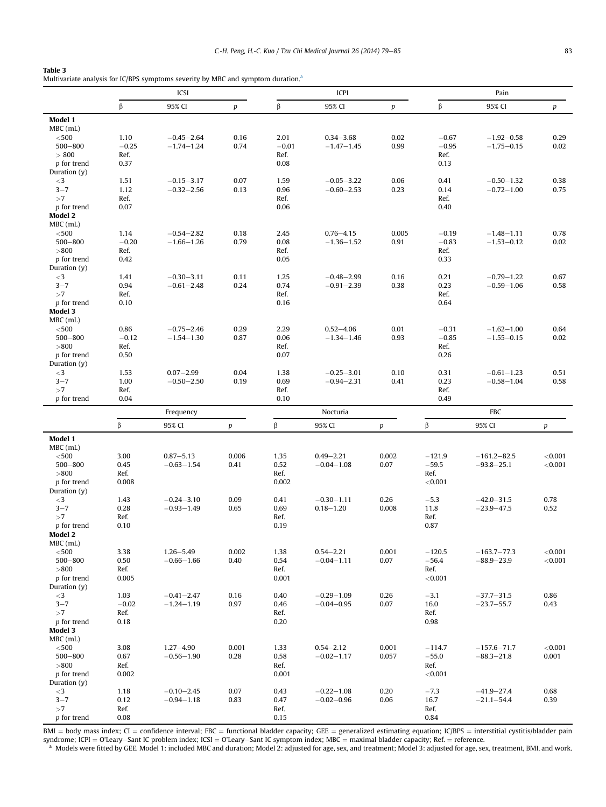## <span id="page-4-0"></span>Table 3

Multivariate analysis for IC/BPS symptoms severity by MBC and symptom duration.<sup>a</sup>

|                               | ICSI         |                |                  |              | ICPI           |                  |              | Pain            |                  |  |
|-------------------------------|--------------|----------------|------------------|--------------|----------------|------------------|--------------|-----------------|------------------|--|
|                               | β            | 95% CI         | $\boldsymbol{p}$ | β            | 95% CI         | $\boldsymbol{p}$ | β            | 95% CI          | $\boldsymbol{p}$ |  |
| Model 1                       |              |                |                  |              |                |                  |              |                 |                  |  |
| $MBC$ (mL)                    |              |                |                  |              |                |                  |              |                 |                  |  |
| $<$ 500                       | 1.10         | $-0.45 - 2.64$ | 0.16             | 2.01         | $0.34 - 3.68$  | 0.02             | $-0.67$      | $-1.92 - 0.58$  | 0.29             |  |
| $500 - 800$                   | $-0.25$      | $-1.74 - 1.24$ | 0.74             | $-0.01$      | $-1.47 - 1.45$ | 0.99             | $-0.95$      | $-1.75 - 0.15$  | 0.02             |  |
| > 800                         | Ref.         |                |                  | Ref.         |                |                  | Ref.         |                 |                  |  |
| p for trend                   | 0.37         |                |                  | 0.08         |                |                  | 0.13         |                 |                  |  |
| Duration $(y)$                |              |                |                  |              |                |                  |              |                 |                  |  |
| $<$ 3                         | 1.51         | $-0.15 - 3.17$ | 0.07             | 1.59         | $-0.05 - 3.22$ | 0.06             | 0.41         | $-0.50 - 1.32$  | 0.38             |  |
| $3 - 7$                       | 1.12         | $-0.32 - 2.56$ | 0.13             | 0.96         | $-0.60 - 2.53$ | 0.23             | 0.14         | $-0.72 - 1.00$  | 0.75             |  |
| >7                            | Ref.         |                |                  | Ref.         |                |                  | Ref.         |                 |                  |  |
| p for trend<br><b>Model 2</b> | 0.07         |                |                  | 0.06         |                |                  | 0.40         |                 |                  |  |
| $MBC$ (mL)                    |              |                |                  |              |                |                  |              |                 |                  |  |
| $<$ 500                       | 1.14         | $-0.54 - 2.82$ | 0.18             | 2.45         | $0.76 - 4.15$  | 0.005            | $-0.19$      | $-1.48 - 1.11$  | 0.78             |  |
| $500 - 800$                   | $-0.20$      | $-1.66 - 1.26$ | 0.79             | 0.08         | $-1.36 - 1.52$ | 0.91             | $-0.83$      | $-1.53 - 0.12$  | 0.02             |  |
| $>\!\!800$                    | Ref.         |                |                  | Ref.         |                |                  | Ref.         |                 |                  |  |
| p for trend                   | 0.42         |                |                  | 0.05         |                |                  | 0.33         |                 |                  |  |
| Duration $(y)$                |              |                |                  |              |                |                  |              |                 |                  |  |
| $<$ 3                         | 1.41         | $-0.30 - 3.11$ | 0.11             | 1.25         | $-0.48 - 2.99$ | 0.16             | 0.21         | $-0.79 - 1.22$  | 0.67             |  |
| $3 - 7$                       | 0.94         | $-0.61 - 2.48$ | 0.24             | 0.74         | $-0.91 - 2.39$ | 0.38             | 0.23         | $-0.59 - 1.06$  | 0.58             |  |
| >7                            | Ref.         |                |                  | Ref.         |                |                  | Ref.         |                 |                  |  |
| p for trend                   | 0.10         |                |                  | 0.16         |                |                  | 0.64         |                 |                  |  |
| <b>Model 3</b>                |              |                |                  |              |                |                  |              |                 |                  |  |
| $MBC$ (mL)                    |              |                |                  |              |                |                  |              |                 |                  |  |
| $500$                         | 0.86         | $-0.75 - 2.46$ | 0.29             | 2.29         | $0.52 - 4.06$  | 0.01             | $-0.31$      | $-1.62 - 1.00$  | 0.64             |  |
| $500 - 800$                   | $-0.12$      | $-1.54 - 1.30$ | 0.87             | 0.06         | $-1.34 - 1.46$ | 0.93             | $-0.85$      | $-1.55 - 0.15$  | 0.02             |  |
| $>\!\!800$                    | Ref.         |                |                  | Ref.         |                |                  | Ref.         |                 |                  |  |
| p for trend<br>Duration (y)   | 0.50         |                |                  | 0.07         |                |                  | 0.26         |                 |                  |  |
| $<$ 3                         | 1.53         | $0.07 - 2.99$  | 0.04             | 1.38         | $-0.25 - 3.01$ | 0.10             | 0.31         | $-0.61 - 1.23$  | 0.51             |  |
| $3 - 7$                       | 1.00         | $-0.50 - 2.50$ | 0.19             | 0.69         | $-0.94 - 2.31$ | 0.41             | 0.23         | $-0.58 - 1.04$  | 0.58             |  |
| >7                            | Ref.         |                |                  | Ref.         |                |                  | Ref.         |                 |                  |  |
| p for trend                   | 0.04         |                |                  | 0.10         |                |                  | 0.49         |                 |                  |  |
|                               |              |                |                  |              | Nocturia       |                  |              | <b>FBC</b>      |                  |  |
|                               | Frequency    |                |                  |              |                |                  |              |                 |                  |  |
|                               |              |                |                  |              |                |                  |              |                 |                  |  |
|                               | β            | 95% CI         | p                | β            | 95% CI         | $\boldsymbol{p}$ | β            | 95% CI          | p                |  |
| Model 1                       |              |                |                  |              |                |                  |              |                 |                  |  |
| $MBC$ (mL)                    |              |                |                  |              |                |                  |              |                 |                  |  |
| $<$ 500                       | 3.00         | $0.87 - 5.13$  | 0.006            | 1.35         | $0.49 - 2.21$  | 0.002            | $-121.9$     | $-161.2 - 82.5$ | < 0.001          |  |
| $500 - 800$                   | 0.45         | $-0.63 - 1.54$ | 0.41             | 0.52         | $-0.04 - 1.08$ | 0.07             | $-59.5$      | $-93.8 - 25.1$  | < 0.001          |  |
| $>\!\!800$                    | Ref.         |                |                  | Ref.         |                |                  | Ref.         |                 |                  |  |
| p for trend                   | 0.008        |                |                  | 0.002        |                |                  | < 0.001      |                 |                  |  |
| Duration (y)                  |              |                |                  |              |                |                  |              |                 |                  |  |
| $<$ 3                         | 1.43         | $-0.24 - 3.10$ | 0.09             | 0.41         | $-0.30 - 1.11$ | 0.26             | $-5.3$       | $-42.0 - 31.5$  | 0.78             |  |
| $3 - 7$                       | 0.28         | $-0.93 - 1.49$ | 0.65             | 0.69         | $0.18 - 1.20$  | 0.008            | 11.8         | $-23.9 - 47.5$  | 0.52             |  |
| >7                            | Ref.         |                |                  | Ref.         |                |                  | Ref.         |                 |                  |  |
| p for trend<br><b>Model 2</b> | 0.10         |                |                  | 0.19         |                |                  | 0.87         |                 |                  |  |
| $MBC$ (mL)                    |              |                |                  |              |                |                  |              |                 |                  |  |
| $<$ 500                       | 3.38         | $1.26 - 5.49$  | 0.002            | 1.38         | $0.54 - 2.21$  | 0.001            | $-120.5$     | $-163.7 - 77.3$ | < 0.001          |  |
| $500 - 800$                   | 0.50         | $-0.66 - 1.66$ | 0.40             | 0.54         | $-0.04 - 1.11$ | 0.07             | $-56.4$      | $-88.9 - 23.9$  | < 0.001          |  |
| $>\!\!800$                    | Ref.         |                |                  | Ref.         |                |                  | Ref.         |                 |                  |  |
| p for trend                   | 0.005        |                |                  | 0.001        |                |                  | < 0.001      |                 |                  |  |
| Duration $(y)$                |              |                |                  |              |                |                  |              |                 |                  |  |
| $<$ 3                         | 1.03         | $-0.41 - 2.47$ | 0.16             | 0.40         | $-0.29 - 1.09$ | 0.26             | $-3.1$       | $-37.7 - 31.5$  | 0.86             |  |
| $3 - 7$                       | $-0.02$      | $-1.24 - 1.19$ | 0.97             | 0.46         | $-0.04 - 0.95$ | 0.07             | 16.0         | $-23.7 - 55.7$  | 0.43             |  |
| >7                            | Ref.         |                |                  | Ref.         |                |                  | Ref.         |                 |                  |  |
| p for trend                   | 0.18         |                |                  | 0.20         |                |                  | 0.98         |                 |                  |  |
| Model 3                       |              |                |                  |              |                |                  |              |                 |                  |  |
| $MBC$ (mL)                    |              |                |                  |              |                |                  |              |                 |                  |  |
| $<$ 500                       | 3.08         | $1.27 - 4.90$  | 0.001            | 1.33         | $0.54 - 2.12$  | 0.001            | $-114.7$     | $-157.6 - 71.7$ | < 0.001          |  |
| 500-800                       | 0.67         | $-0.56 - 1.90$ | 0.28             | 0.58         | $-0.02 - 1.17$ | 0.057            | $-55.0$      | $-88.3 - 21.8$  | 0.001            |  |
| $>\!\!800$                    | Ref.         |                |                  | Ref.         |                |                  | Ref.         |                 |                  |  |
| p for trend                   | 0.002        |                |                  | 0.001        |                |                  | < 0.001      |                 |                  |  |
| Duration $(y)$                |              |                |                  |              |                |                  |              |                 |                  |  |
| $<$ 3                         | 1.18         | $-0.10 - 2.45$ | $0.07\,$         | 0.43         | $-0.22 - 1.08$ | 0.20             | $-7.3$       | $-41.9 - 27.4$  | 0.68             |  |
| $3 - 7$                       | 0.12         | $-0.94 - 1.18$ | 0.83             | 0.47         | $-0.02 - 0.96$ | 0.06             | 16.7         | $-21.1 - 54.4$  | 0.39             |  |
| >7<br><i>p</i> for trend      | Ref.<br>0.08 |                |                  | Ref.<br>0.15 |                |                  | Ref.<br>0.84 |                 |                  |  |

 $BMI = body$  mass index; CI = confidence interval; FBC = functional bladder capacity; GEE = generalized estimating equation; IC/BPS = interstitial cystitis/bladder pain syndrome; ICPI = O'Leary–Sant IC problem index; ICSI = O'Leary–Sant IC symptom index; MBC = maximal bladder capacity; Ref. = reference.<br><sup>a</sup> Models were fitted by GEE. Model 1: included MBC and duration; Model 2: adjusted f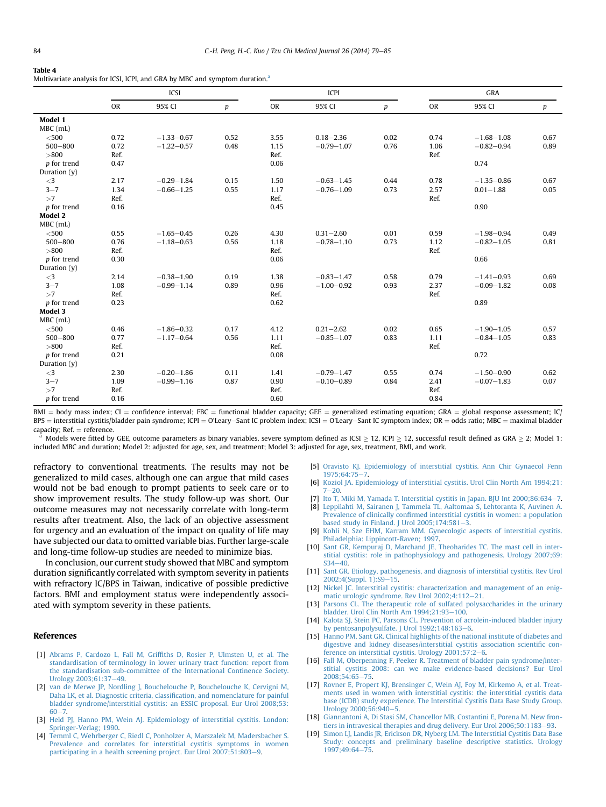#### <span id="page-5-0"></span>Table 4

Multivariate analysis for ICSI, ICPI, and GRA by MBC and symptom duration.<sup>a</sup>

|                | <b>ICSI</b> |                |      | <b>ICPI</b> |                |      | <b>GRA</b> |                |                  |
|----------------|-------------|----------------|------|-------------|----------------|------|------------|----------------|------------------|
|                | <b>OR</b>   | 95% CI         | p    | <b>OR</b>   | 95% CI         | p    | <b>OR</b>  | 95% CI         | $\boldsymbol{p}$ |
| Model 1        |             |                |      |             |                |      |            |                |                  |
| $MBC$ (mL)     |             |                |      |             |                |      |            |                |                  |
| $<$ 500        | 0.72        | $-1.33 - 0.67$ | 0.52 | 3.55        | $0.18 - 2.36$  | 0.02 | 0.74       | $-1.68 - 1.08$ | 0.67             |
| $500 - 800$    | 0.72        | $-1.22 - 0.57$ | 0.48 | 1.15        | $-0.79 - 1.07$ | 0.76 | 1.06       | $-0.82 - 0.94$ | 0.89             |
| $>\!\!800$     | Ref.        |                |      | Ref.        |                |      | Ref.       |                |                  |
| p for trend    | 0.47        |                |      | 0.06        |                |      |            | 0.74           |                  |
| Duration $(y)$ |             |                |      |             |                |      |            |                |                  |
| $\leq$ 3       | 2.17        | $-0.29 - 1.84$ | 0.15 | 1.50        | $-0.63 - 1.45$ | 0.44 | 0.78       | $-1.35 - 0.86$ | 0.67             |
| $3 - 7$        | 1.34        | $-0.66 - 1.25$ | 0.55 | 1.17        | $-0.76 - 1.09$ | 0.73 | 2.57       | $0.01 - 1.88$  | 0.05             |
| >7             | Ref.        |                |      | Ref.        |                |      | Ref.       |                |                  |
| p for trend    | 0.16        |                |      | 0.45        |                |      |            | 0.90           |                  |
| <b>Model 2</b> |             |                |      |             |                |      |            |                |                  |
| $MBC$ (mL)     |             |                |      |             |                |      |            |                |                  |
| $<$ 500 $\,$   | 0.55        | $-1.65 - 0.45$ | 0.26 | 4.30        | $0.31 - 2.60$  | 0.01 | 0.59       | $-1.98 - 0.94$ | 0.49             |
| $500 - 800$    | 0.76        | $-1.18 - 0.63$ | 0.56 | 1.18        | $-0.78 - 1.10$ | 0.73 | 1.12       | $-0.82 - 1.05$ | 0.81             |
| > 800          | Ref.        |                |      | Ref.        |                |      | Ref.       |                |                  |
| p for trend    | 0.30        |                |      | 0.06        |                |      |            | 0.66           |                  |
| Duration $(y)$ |             |                |      |             |                |      |            |                |                  |
| $\leq$ 3       | 2.14        | $-0.38 - 1.90$ | 0.19 | 1.38        | $-0.83 - 1.47$ | 0.58 | 0.79       | $-1.41 - 0.93$ | 0.69             |
| $3 - 7$        | 1.08        | $-0.99 - 1.14$ | 0.89 | 0.96        | $-1.00 - 0.92$ | 0.93 | 2.37       | $-0.09 - 1.82$ | 0.08             |
| >7             | Ref.        |                |      | Ref.        |                |      | Ref.       |                |                  |
| p for trend    | 0.23        |                |      | 0.62        |                |      |            | 0.89           |                  |
| Model 3        |             |                |      |             |                |      |            |                |                  |
| $MBC$ (mL)     |             |                |      |             |                |      |            |                |                  |
| $<$ 500        | 0.46        | $-1.86 - 0.32$ | 0.17 | 4.12        | $0.21 - 2.62$  | 0.02 | 0.65       | $-1.90 - 1.05$ | 0.57             |
| $500 - 800$    | 0.77        | $-1.17 - 0.64$ | 0.56 | 1.11        | $-0.85 - 1.07$ | 0.83 | 1.11       | $-0.84 - 1.05$ | 0.83             |
| > 800          | Ref.        |                |      | Ref.        |                |      | Ref.       |                |                  |
| p for trend    | 0.21        |                |      | 0.08        |                |      |            | 0.72           |                  |
| Duration $(y)$ |             |                |      |             |                |      |            |                |                  |
| $\leq$ 3       | 2.30        | $-0.20 - 1.86$ | 0.11 | 1.41        | $-0.79 - 1.47$ | 0.55 | 0.74       | $-1.50 - 0.90$ | 0.62             |
| $3 - 7$        | 1.09        | $-0.99 - 1.16$ | 0.87 | 0.90        | $-0.10 - 0.89$ | 0.84 | 2.41       | $-0.07 - 1.83$ | 0.07             |
| >7             | Ref.        |                |      | Ref.        |                |      | Ref.       |                |                  |
| p for trend    | 0.16        |                |      | 0.60        |                |      | 0.84       |                |                  |

 $BMI = body$  mass index; CI = confidence interval; FBC = functional bladder capacity; GEE = generalized estimating equation; GRA = global response assessment; IC/  $BPS =$  interstitial cystitis/bladder pain syndrome; ICPI = O'Leary–Sant IC problem index; ICSI = O'Leary–Sant IC symptom index; OR = odds ratio; MBC = maximal bladder capacity; Ref. = reference.

<sup>a</sup> Models were fitted by GEE, outcome parameters as binary variables, severe symptom defined as ICSI > 12, ICPI > 12, successful result defined as GRA > 2; Model 1: included MBC and duration; Model 2: adjusted for age, sex, and treatment; Model 3: adjusted for age, sex, treatment, BMI, and work.

refractory to conventional treatments. The results may not be generalized to mild cases, although one can argue that mild cases would not be bad enough to prompt patients to seek care or to show improvement results. The study follow-up was short. Our outcome measures may not necessarily correlate with long-term results after treatment. Also, the lack of an objective assessment for urgency and an evaluation of the impact on quality of life may have subjected our data to omitted variable bias. Further large-scale and long-time follow-up studies are needed to minimize bias.

In conclusion, our current study showed that MBC and symptom duration significantly correlated with symptom severity in patients with refractory IC/BPS in Taiwan, indicative of possible predictive factors. BMI and employment status were independently associated with symptom severity in these patients.

#### References

- [1] Abrams P, Cardozo L, Fall M, Griffi[ths D, Rosier P, Ulmsten U, et al. The](http://refhub.elsevier.com/S1016-3190(14)00008-1/sref1) [standardisation of terminology in lower urinary tract function: report from](http://refhub.elsevier.com/S1016-3190(14)00008-1/sref1) [the standardisation sub-committee of the International Continence Society.](http://refhub.elsevier.com/S1016-3190(14)00008-1/sref1) [Urology 2003;61:37](http://refhub.elsevier.com/S1016-3190(14)00008-1/sref1)-[49](http://refhub.elsevier.com/S1016-3190(14)00008-1/sref1).
- [2] [van de Merwe JP, Nordling J, Bouchelouche P, Bouchelouche K, Cervigni M,](http://refhub.elsevier.com/S1016-3190(14)00008-1/sref2) [Daha LK, et al. Diagnostic criteria, classi](http://refhub.elsevier.com/S1016-3190(14)00008-1/sref2)fication, and nomenclature for painful [bladder syndrome/interstitial cystitis: an ESSIC proposal. Eur Urol 2008;53:](http://refhub.elsevier.com/S1016-3190(14)00008-1/sref2)  $60 - 7$  $60 - 7$  $60 - 7$
- [3] [Held PJ, Hanno PM, Wein AJ. Epidemiology of interstitial cystitis. London:](http://refhub.elsevier.com/S1016-3190(14)00008-1/sref3) [Springer-Verlag; 1990](http://refhub.elsevier.com/S1016-3190(14)00008-1/sref3).
- [4] [Temml C, Wehrberger C, Riedl C, Ponholzer A, Marszalek M, Madersbacher S.](http://refhub.elsevier.com/S1016-3190(14)00008-1/sref4) [Prevalence and correlates for interstitial cystitis symptoms in women](http://refhub.elsevier.com/S1016-3190(14)00008-1/sref4) [participating in a health screening project. Eur Urol 2007;51:803](http://refhub.elsevier.com/S1016-3190(14)00008-1/sref4)-[9](http://refhub.elsevier.com/S1016-3190(14)00008-1/sref4).
- [5] [Oravisto KJ. Epidemiology of interstitial cystitis. Ann Chir Gynaecol Fenn](http://refhub.elsevier.com/S1016-3190(14)00008-1/sref5)  $1975:64:75-7$  $1975:64:75-7$  $1975:64:75-7$
- [6] [Koziol JA. Epidemiology of interstitial cystitis. Urol Clin North Am 1994;21:](http://refhub.elsevier.com/S1016-3190(14)00008-1/sref6)  $7 - 20.$  $7 - 20.$  $7 - 20.$  $7 - 20.$
- [[7](http://refhub.elsevier.com/S1016-3190(14)00008-1/sref7)] Ito T, Miki M, Yamada T. Interstitial cystitis in Japan. BJU Int  $2000;86:634-7$ .
- [8] [Leppilahti M, Sairanen J, Tammela TL, Aaltomaa S, Lehtoranta K, Auvinen A.](http://refhub.elsevier.com/S1016-3190(14)00008-1/sref8) Prevalence of clinically confi[rmed interstitial cystitis in women: a population](http://refhub.elsevier.com/S1016-3190(14)00008-1/sref8) based study in Finland. J Urol  $2005;174:581-3$  $2005;174:581-3$ .
- [9] [Kohli N, Sze EHM, Karram MM. Gynecologic aspects of interstitial cystitis.](http://refhub.elsevier.com/S1016-3190(14)00008-1/sref9) [Philadelphia: Lippincott-Raven; 1997](http://refhub.elsevier.com/S1016-3190(14)00008-1/sref9).
- [10] [Sant GR, Kempuraj D, Marchand JE, Theoharides TC. The mast cell in inter](http://refhub.elsevier.com/S1016-3190(14)00008-1/sref10)[stitial cystitis: role in pathophysiology and pathogenesis. Urology 2007;69:](http://refhub.elsevier.com/S1016-3190(14)00008-1/sref10)  $S34 - 40.$  $S34 - 40.$  $S34 - 40.$
- [11] [Sant GR. Etiology, pathogenesis, and diagnosis of interstitial cystitis. Rev Urol](http://refhub.elsevier.com/S1016-3190(14)00008-1/sref11) [2002;4\(Suppl. 1\):S9](http://refhub.elsevier.com/S1016-3190(14)00008-1/sref11)-[15.](http://refhub.elsevier.com/S1016-3190(14)00008-1/sref11)
- [12] [Nickel JC. Interstitial cystitis: characterization and management of an enig](http://refhub.elsevier.com/S1016-3190(14)00008-1/sref12)[matic urologic syndrome. Rev Urol 2002;4:112](http://refhub.elsevier.com/S1016-3190(14)00008-1/sref12)-[21](http://refhub.elsevier.com/S1016-3190(14)00008-1/sref12).
- [13] [Parsons CL. The therapeutic role of sulfated polysaccharides in the urinary](http://refhub.elsevier.com/S1016-3190(14)00008-1/sref13) [bladder. Urol Clin North Am 1994;21:93](http://refhub.elsevier.com/S1016-3190(14)00008-1/sref13)-[100](http://refhub.elsevier.com/S1016-3190(14)00008-1/sref13).
- [14] [Kalota SJ, Stein PC, Parsons CL. Prevention of acrolein-induced bladder injury](http://refhub.elsevier.com/S1016-3190(14)00008-1/sref14) [by pentosanpolysulfate. J Urol 1992;148:163](http://refhub.elsevier.com/S1016-3190(14)00008-1/sref14)-[6](http://refhub.elsevier.com/S1016-3190(14)00008-1/sref14).
- [15] [Hanno PM, Sant GR. Clinical highlights of the national institute of diabetes and](http://refhub.elsevier.com/S1016-3190(14)00008-1/sref15) [digestive and kidney diseases/interstitial cystitis association scienti](http://refhub.elsevier.com/S1016-3190(14)00008-1/sref15)fic conference on interstitial cystitis. Urology  $2001;57:2-6$  $2001;57:2-6$ .
- [16] [Fall M, Oberpenning F, Peeker R. Treatment of bladder pain syndrome/inter](http://refhub.elsevier.com/S1016-3190(14)00008-1/sref16)[stitial cystitis 2008: can we make evidence-based decisions? Eur Urol](http://refhub.elsevier.com/S1016-3190(14)00008-1/sref16)  $2008:54:65-75$
- [17] [Rovner E, Propert KJ, Brensinger C, Wein AJ, Foy M, Kirkemo A, et al. Treat](http://refhub.elsevier.com/S1016-3190(14)00008-1/sref17)[ments used in women with interstitial cystitis: the interstitial cystitis data](http://refhub.elsevier.com/S1016-3190(14)00008-1/sref17) [base \(ICDB\) study experience. The Interstitial Cystitis Data Base Study Group.](http://refhub.elsevier.com/S1016-3190(14)00008-1/sref17) [Urology 2000;56:940](http://refhub.elsevier.com/S1016-3190(14)00008-1/sref17)-[5.](http://refhub.elsevier.com/S1016-3190(14)00008-1/sref17)
- [18] [Giannantoni A, Di Stasi SM, Chancellor MB, Costantini E, Porena M. New fron](http://refhub.elsevier.com/S1016-3190(14)00008-1/sref18)[tiers in intravesical therapies and drug delivery. Eur Urol 2006;50:1183](http://refhub.elsevier.com/S1016-3190(14)00008-1/sref18)-[93](http://refhub.elsevier.com/S1016-3190(14)00008-1/sref18).
- [19] [Simon LJ, Landis JR, Erickson DR, Nyberg LM. The Interstitial Cystitis Data Base](http://refhub.elsevier.com/S1016-3190(14)00008-1/sref19) [Study: concepts and preliminary baseline descriptive statistics. Urology](http://refhub.elsevier.com/S1016-3190(14)00008-1/sref19) [1997;49:64](http://refhub.elsevier.com/S1016-3190(14)00008-1/sref19)-[75.](http://refhub.elsevier.com/S1016-3190(14)00008-1/sref19)